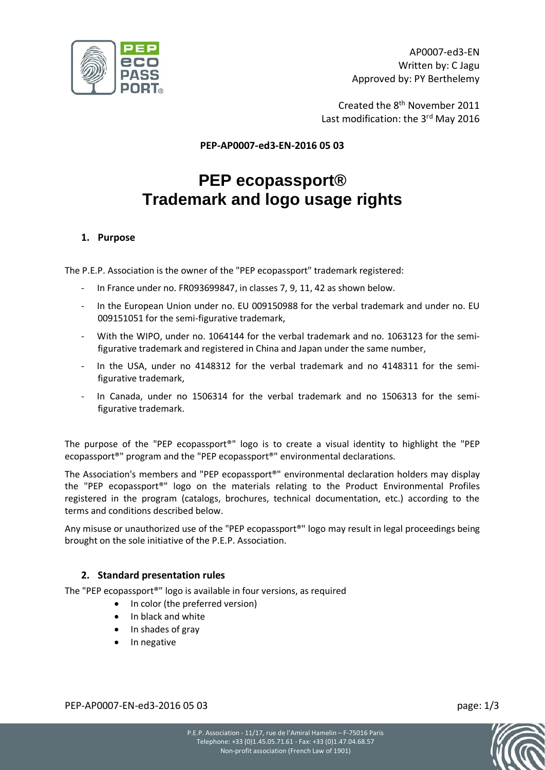

Created the 8th November 2011 Last modification: the 3<sup>rd</sup> May 2016

**PEP-AP0007-ed3-EN-2016 05 03**

# **PEP ecopassport® Trademark and logo usage rights**

## **1. Purpose**

The P.E.P. Association is the owner of the "PEP ecopassport" trademark registered:

- In France under no. FR093699847, in classes 7, 9, 11, 42 as shown below.
- In the European Union under no. EU 009150988 for the verbal trademark and under no. EU 009151051 for the semi-figurative trademark,
- With the WIPO, under no. 1064144 for the verbal trademark and no. 1063123 for the semifigurative trademark and registered in China and Japan under the same number,
- In the USA, under no 4148312 for the verbal trademark and no 4148311 for the semifigurative trademark,
- In Canada, under no 1506314 for the verbal trademark and no 1506313 for the semifigurative trademark.

The purpose of the "PEP ecopassport®" logo is to create a visual identity to highlight the "PEP ecopassport®" program and the "PEP ecopassport®" environmental declarations.

The Association's members and "PEP ecopassport®" environmental declaration holders may display the "PEP ecopassport®" logo on the materials relating to the Product Environmental Profiles registered in the program (catalogs, brochures, technical documentation, etc.) according to the terms and conditions described below.

Any misuse or unauthorized use of the "PEP ecopassport®" logo may result in legal proceedings being brought on the sole initiative of the P.E.P. Association.

## **2. Standard presentation rules**

The "PEP ecopassport®" logo is available in four versions, as required

- In color (the preferred version)
- In black and white
- In shades of gray
- In negative

PEP-AP0007-EN-ed3-2016 05 03 page: 1/3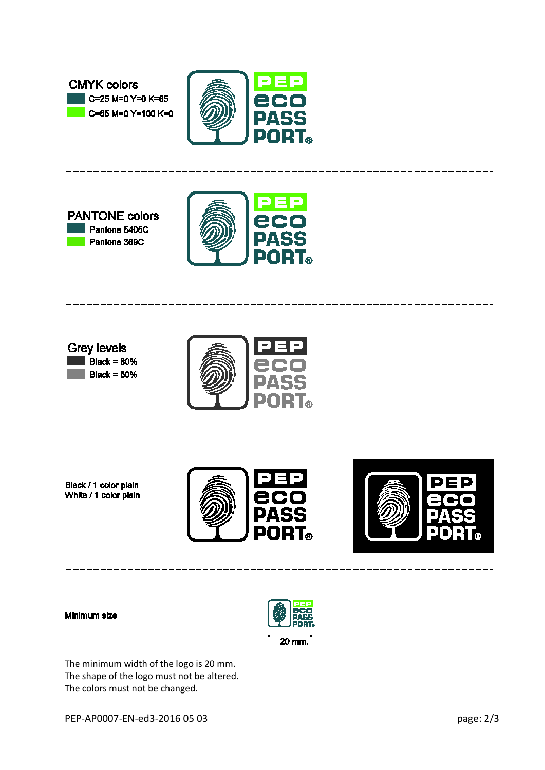

Black / 1 color plain White / 1 color plain

**CMYK colors** 

 $\mathsf{C} = 25 \mathsf{M} = 0 \mathsf{Y} = 0 \mathsf{K} = 65$ 





--------------------------

## Minimum size



The minimum width of the logo is 20 mm. The shape of the logo must not be altered. The colors must not be changed.